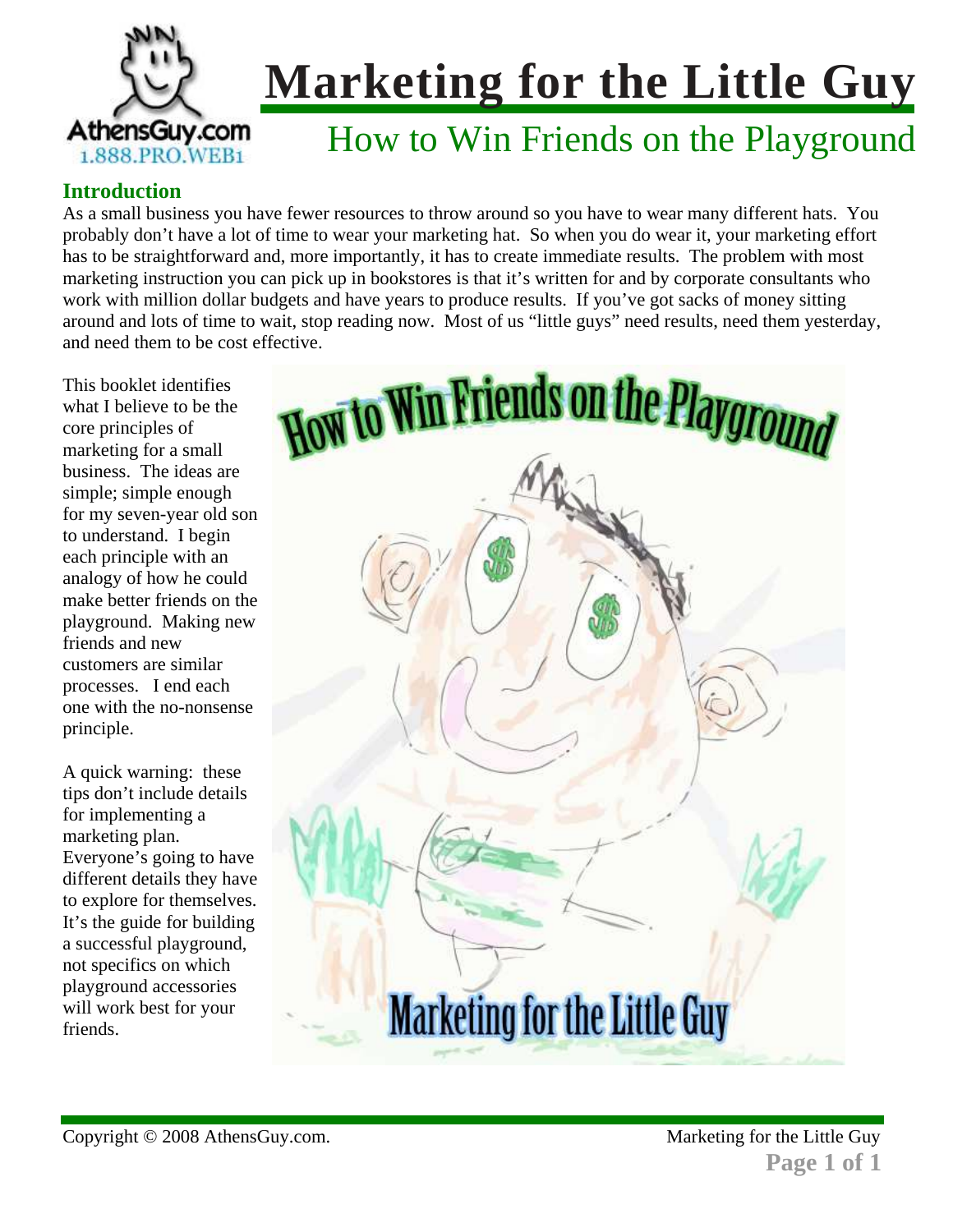

## How to Win Friends on the Playground

#### **Introduction**

As a small business you have fewer resources to throw around so you have to wear many different hats. You probably don't have a lot of time to wear your marketing hat. So when you do wear it, your marketing effort has to be straightforward and, more importantly, it has to create immediate results. The problem with most marketing instruction you can pick up in bookstores is that it's written for and by corporate consultants who work with million dollar budgets and have years to produce results. If you've got sacks of money sitting around and lots of time to wait, stop reading now. Most of us "little guys" need results, need them yesterday, and need them to be cost effective.

This booklet identifies what I believe to be the core principles of marketing for a small business. The ideas are simple; simple enough for my seven-year old son to understand. I begin each principle with an analogy of how he could make better friends on the playground. Making new friends and new customers are similar processes. I end each one with the no-nonsense principle.

A quick warning: these tips don't include details for implementing a marketing plan. Everyone's going to have different details they have to explore for themselves. It's the guide for building a successful playground, not specifics on which playground accessories will work best for your friends.

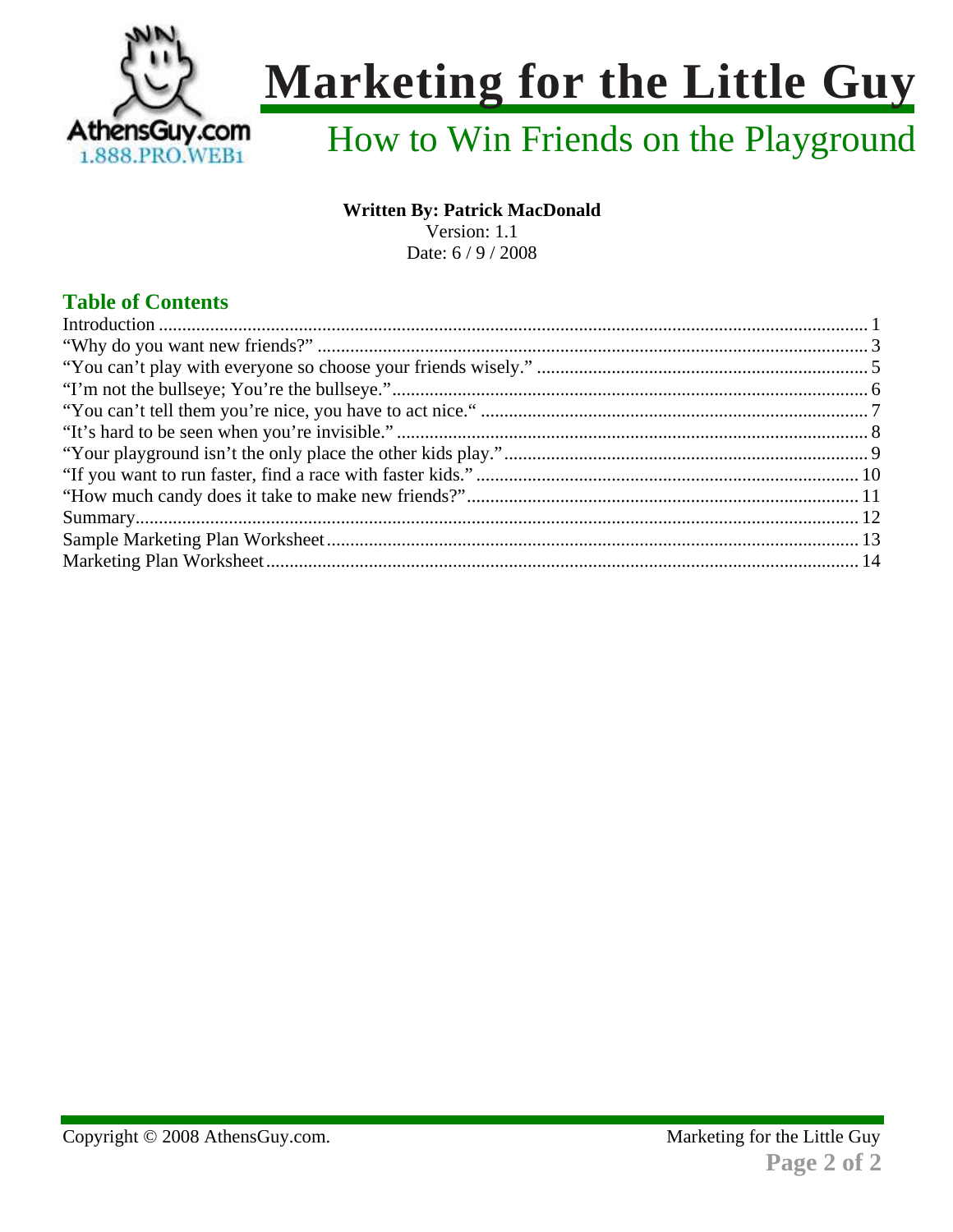

## How to Win Friends on the Playground

#### **Written By: Patrick MacDonald**

Version: 1.1

Date: 6/9/2008

### **Table of Contents**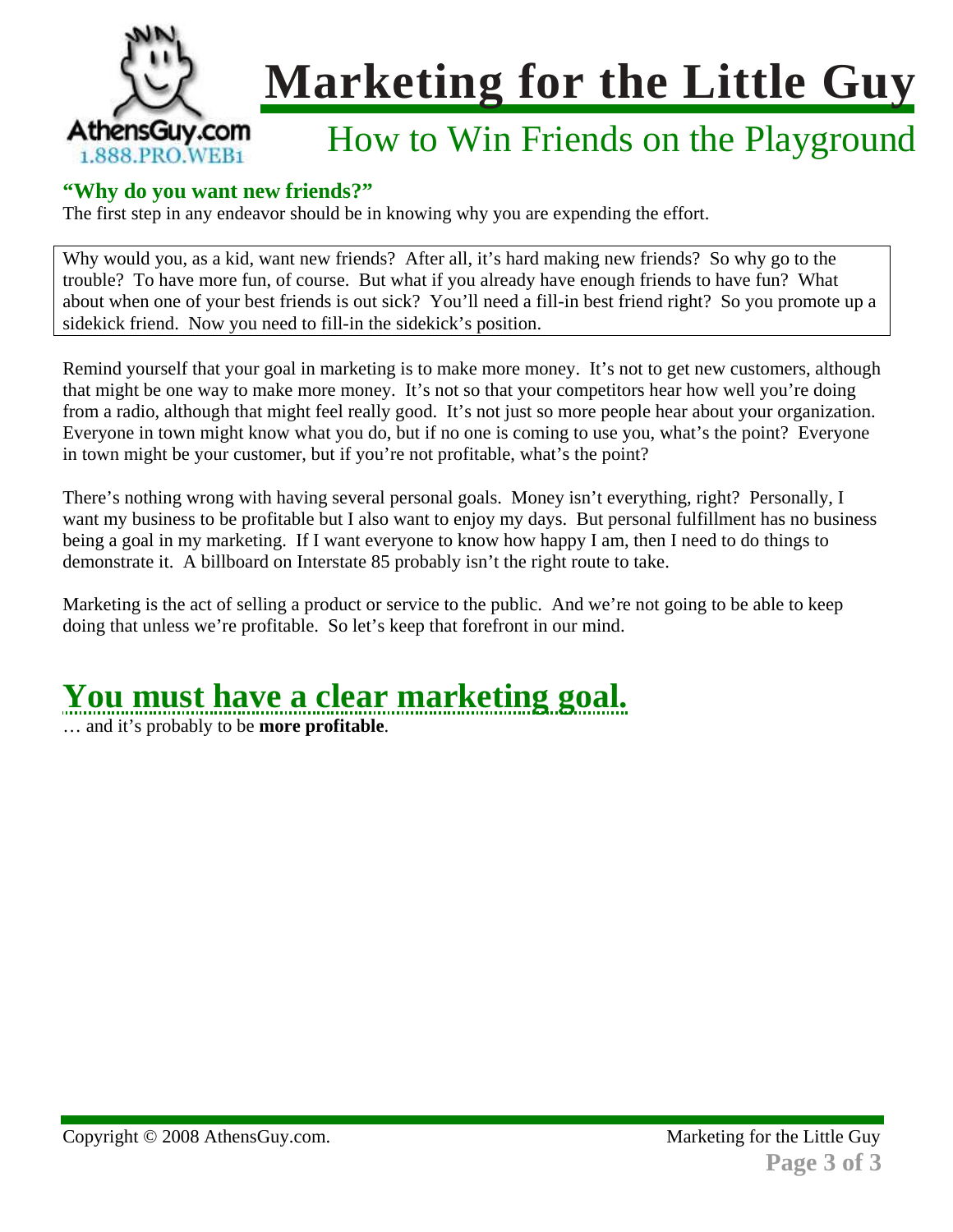

### How to Win Friends on the Playground

#### **"Why do you want new friends?"**

The first step in any endeavor should be in knowing why you are expending the effort.

Why would you, as a kid, want new friends? After all, it's hard making new friends? So why go to the trouble? To have more fun, of course. But what if you already have enough friends to have fun? What about when one of your best friends is out sick? You'll need a fill-in best friend right? So you promote up a sidekick friend. Now you need to fill-in the sidekick's position.

Remind yourself that your goal in marketing is to make more money. It's not to get new customers, although that might be one way to make more money. It's not so that your competitors hear how well you're doing from a radio, although that might feel really good. It's not just so more people hear about your organization. Everyone in town might know what you do, but if no one is coming to use you, what's the point? Everyone in town might be your customer, but if you're not profitable, what's the point?

There's nothing wrong with having several personal goals. Money isn't everything, right? Personally, I want my business to be profitable but I also want to enjoy my days. But personal fulfillment has no business being a goal in my marketing. If I want everyone to know how happy I am, then I need to do things to demonstrate it. A billboard on Interstate 85 probably isn't the right route to take.

Marketing is the act of selling a product or service to the public. And we're not going to be able to keep doing that unless we're profitable. So let's keep that forefront in our mind.

### **You must have a clear marketing goal.**

… and it's probably to be **more profitable**.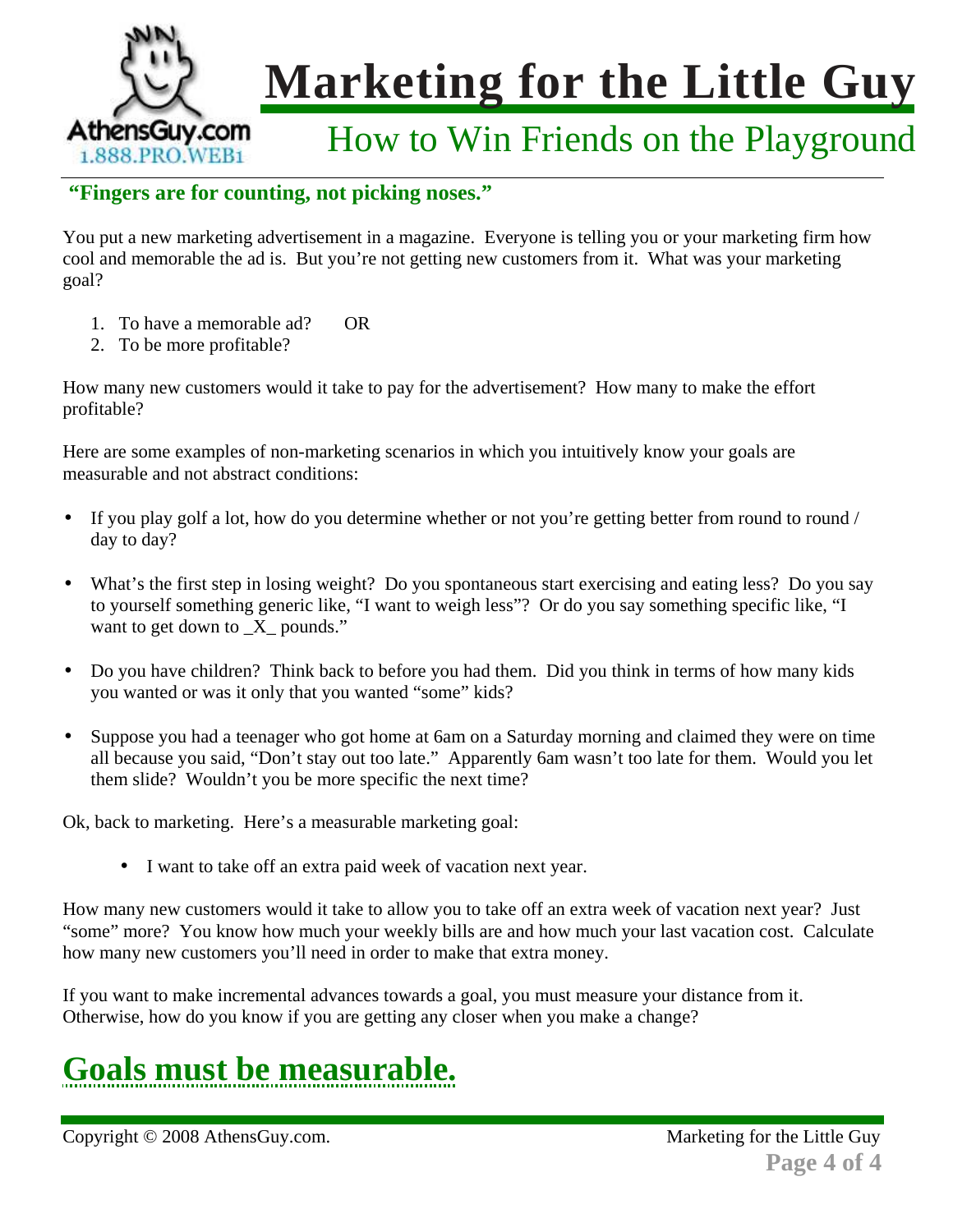

### How to Win Friends on the Playground

#### **"Fingers are for counting, not picking noses."**

You put a new marketing advertisement in a magazine. Everyone is telling you or your marketing firm how cool and memorable the ad is. But you're not getting new customers from it. What was your marketing goal?

- 1. To have a memorable ad? OR
- 2. To be more profitable?

How many new customers would it take to pay for the advertisement? How many to make the effort profitable?

Here are some examples of non-marketing scenarios in which you intuitively know your goals are measurable and not abstract conditions:

- If you play golf a lot, how do you determine whether or not you're getting better from round to round / day to day?
- What's the first step in losing weight? Do you spontaneous start exercising and eating less? Do you say to yourself something generic like, "I want to weigh less"? Or do you say something specific like, "I want to get down to  $X$  pounds."
- Do you have children? Think back to before you had them. Did you think in terms of how many kids you wanted or was it only that you wanted "some" kids?
- Suppose you had a teenager who got home at 6am on a Saturday morning and claimed they were on time all because you said, "Don't stay out too late." Apparently 6am wasn't too late for them. Would you let them slide? Wouldn't you be more specific the next time?

Ok, back to marketing. Here's a measurable marketing goal:

• I want to take off an extra paid week of vacation next year.

How many new customers would it take to allow you to take off an extra week of vacation next year? Just "some" more? You know how much your weekly bills are and how much your last vacation cost. Calculate how many new customers you'll need in order to make that extra money.

If you want to make incremental advances towards a goal, you must measure your distance from it. Otherwise, how do you know if you are getting any closer when you make a change?

## **Goals must be measurable.**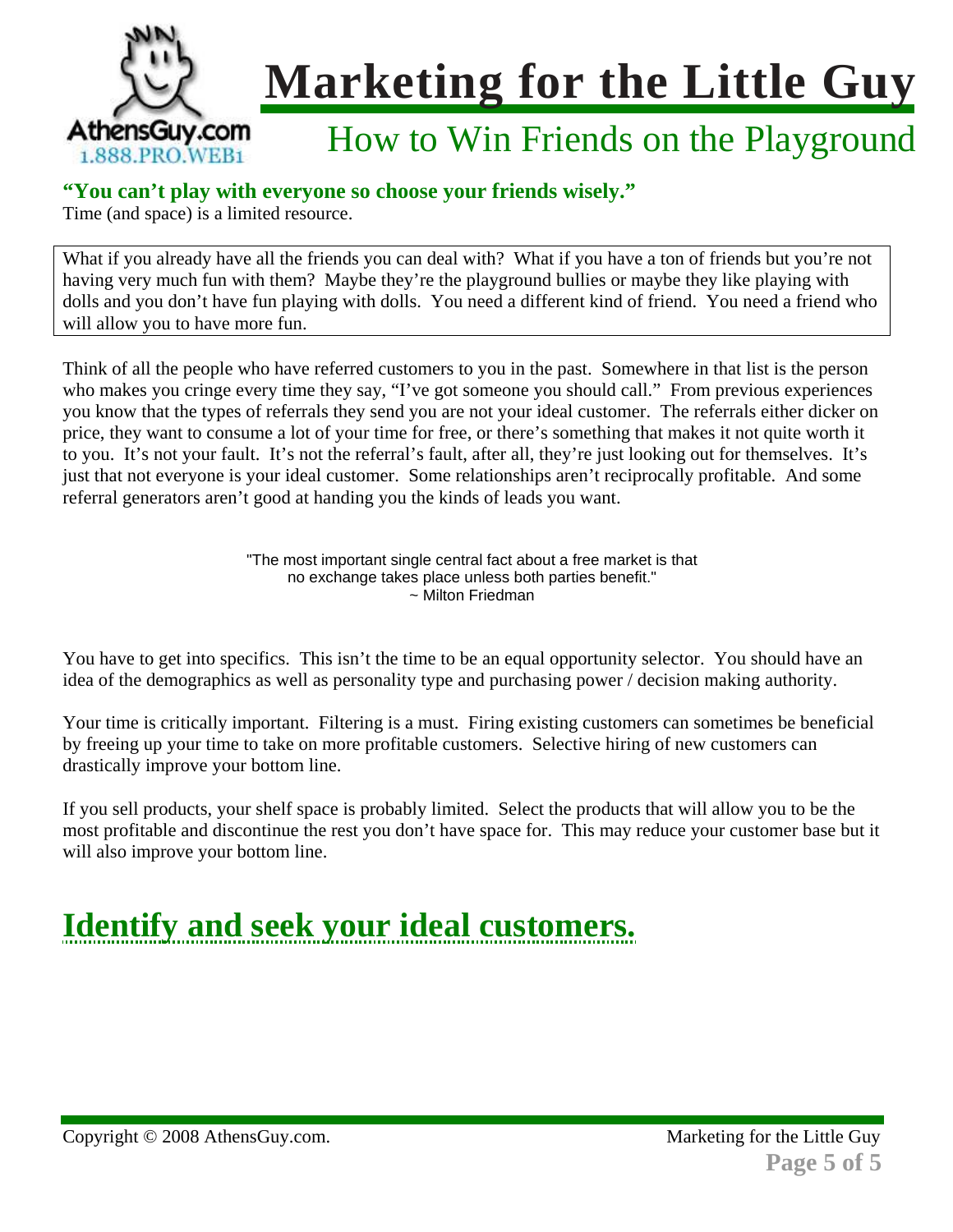

### How to Win Friends on the Playground

#### **"You can't play with everyone so choose your friends wisely."**

Time (and space) is a limited resource.

What if you already have all the friends you can deal with? What if you have a ton of friends but you're not having very much fun with them? Maybe they're the playground bullies or maybe they like playing with dolls and you don't have fun playing with dolls. You need a different kind of friend. You need a friend who will allow you to have more fun.

Think of all the people who have referred customers to you in the past. Somewhere in that list is the person who makes you cringe every time they say, "I've got someone you should call." From previous experiences you know that the types of referrals they send you are not your ideal customer. The referrals either dicker on price, they want to consume a lot of your time for free, or there's something that makes it not quite worth it to you. It's not your fault. It's not the referral's fault, after all, they're just looking out for themselves. It's just that not everyone is your ideal customer. Some relationships aren't reciprocally profitable. And some referral generators aren't good at handing you the kinds of leads you want.

> "The most important single central fact about a free market is that no exchange takes place unless both parties benefit." ~ Milton Friedman

You have to get into specifics. This isn't the time to be an equal opportunity selector. You should have an idea of the demographics as well as personality type and purchasing power / decision making authority.

Your time is critically important. Filtering is a must. Firing existing customers can sometimes be beneficial by freeing up your time to take on more profitable customers. Selective hiring of new customers can drastically improve your bottom line.

If you sell products, your shelf space is probably limited. Select the products that will allow you to be the most profitable and discontinue the rest you don't have space for. This may reduce your customer base but it will also improve your bottom line.

## **Identify and seek your ideal customers.**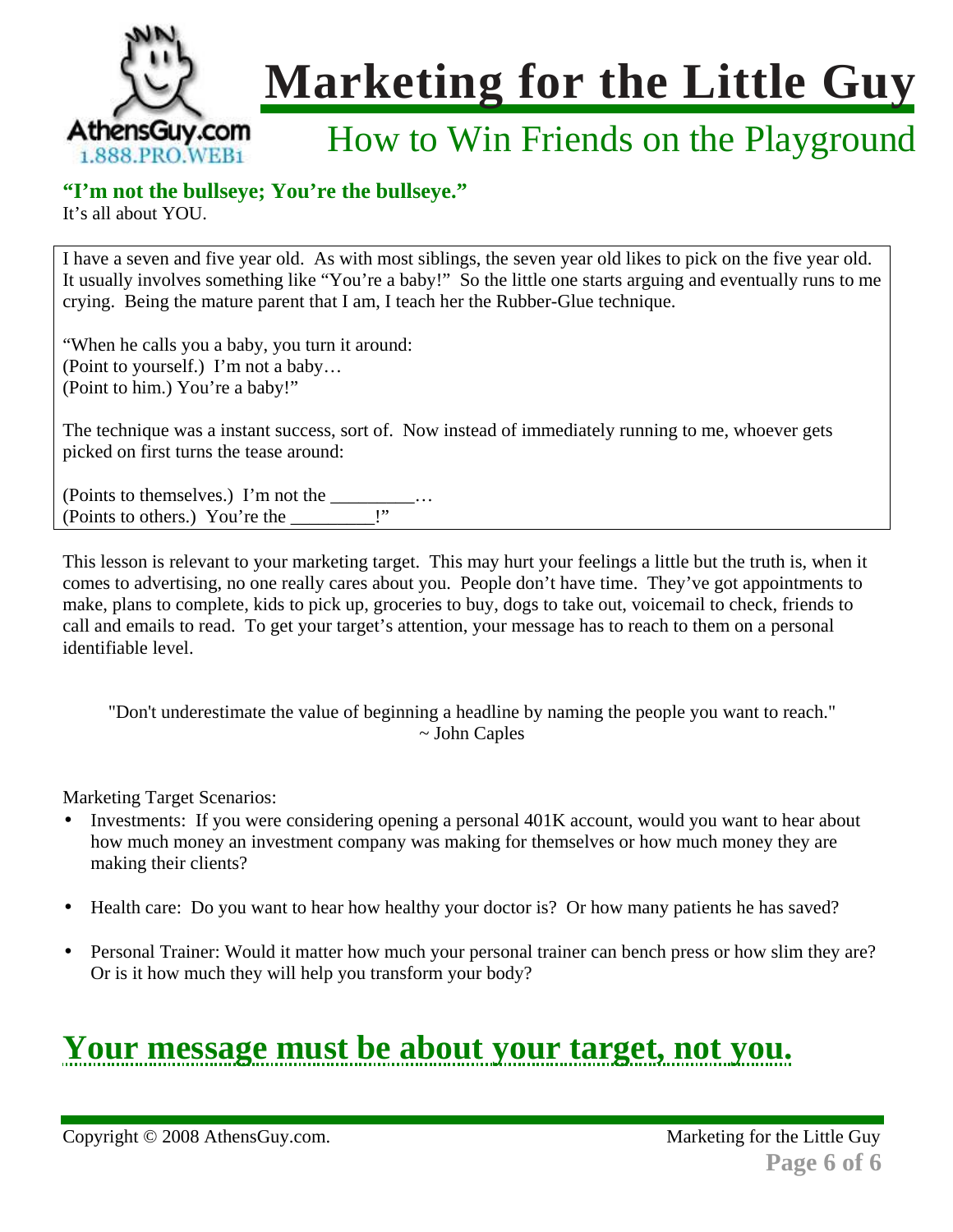

### How to Win Friends on the Playground

#### **"I'm not the bullseye; You're the bullseye."**

It's all about YOU.

I have a seven and five year old. As with most siblings, the seven year old likes to pick on the five year old. It usually involves something like "You're a baby!" So the little one starts arguing and eventually runs to me crying. Being the mature parent that I am, I teach her the Rubber-Glue technique.

"When he calls you a baby, you turn it around: (Point to yourself.) I'm not a baby… (Point to him.) You're a baby!"

The technique was a instant success, sort of. Now instead of immediately running to me, whoever gets picked on first turns the tease around:

(Points to themselves.) I'm not the \_\_\_\_\_\_\_\_\_… (Points to others.) You're the

This lesson is relevant to your marketing target. This may hurt your feelings a little but the truth is, when it comes to advertising, no one really cares about you. People don't have time. They've got appointments to make, plans to complete, kids to pick up, groceries to buy, dogs to take out, voicemail to check, friends to call and emails to read. To get your target's attention, your message has to reach to them on a personal identifiable level.

"Don't underestimate the value of beginning a headline by naming the people you want to reach." ~ John Caples

Marketing Target Scenarios:

- Investments: If you were considering opening a personal 401K account, would you want to hear about how much money an investment company was making for themselves or how much money they are making their clients?
- Health care: Do you want to hear how healthy your doctor is? Or how many patients he has saved?
- Personal Trainer: Would it matter how much your personal trainer can bench press or how slim they are? Or is it how much they will help you transform your body?

### **Your message must be about your target, not you.**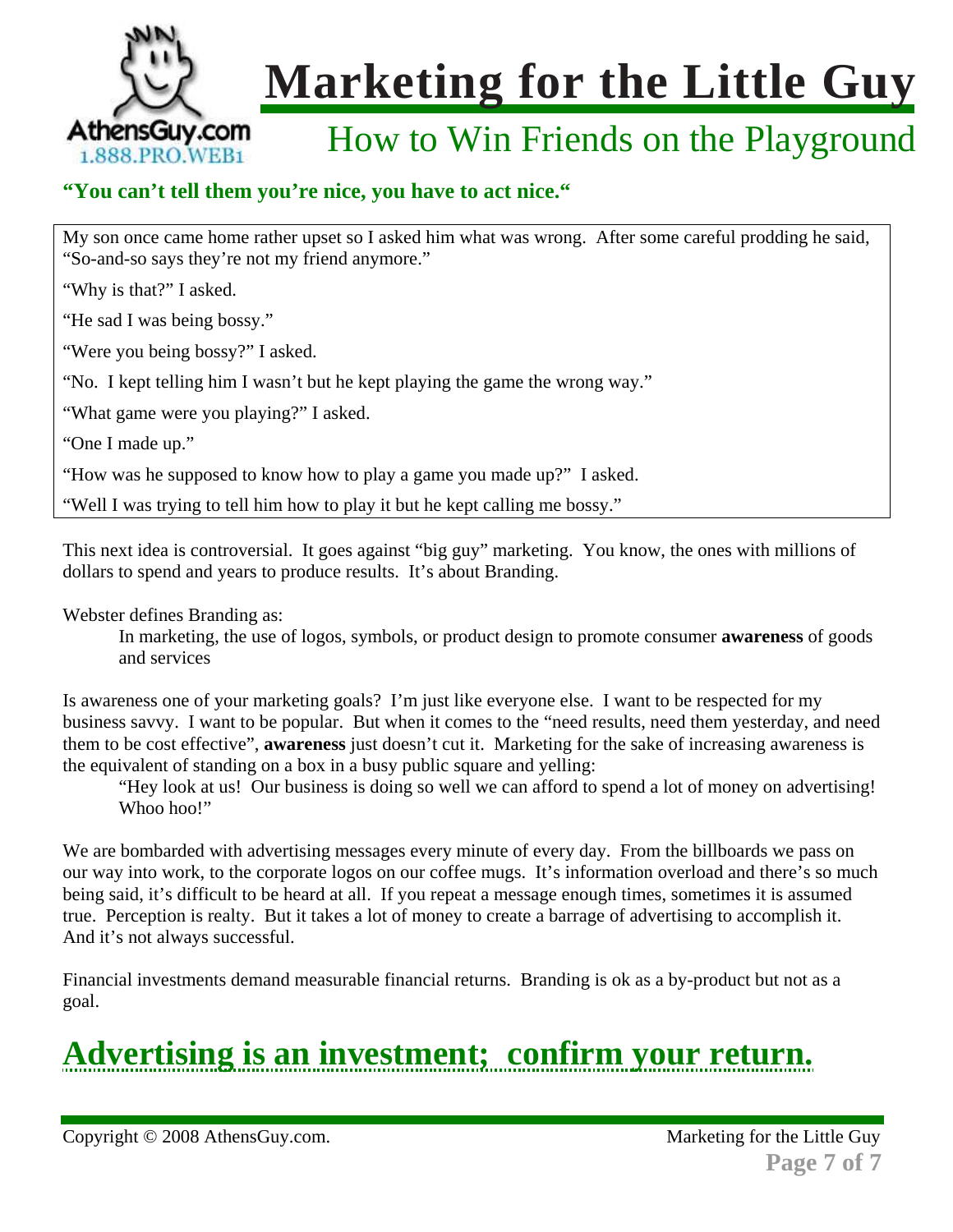

### How to Win Friends on the Playground

### **"You can't tell them you're nice, you have to act nice."**

My son once came home rather upset so I asked him what was wrong. After some careful prodding he said, "So-and-so says they're not my friend anymore."

"Why is that?" I asked.

"He sad I was being bossy."

"Were you being bossy?" I asked.

"No. I kept telling him I wasn't but he kept playing the game the wrong way."

"What game were you playing?" I asked.

"One I made up."

"How was he supposed to know how to play a game you made up?" I asked.

"Well I was trying to tell him how to play it but he kept calling me bossy."

This next idea is controversial. It goes against "big guy" marketing. You know, the ones with millions of dollars to spend and years to produce results. It's about Branding.

Webster defines Branding as:

In marketing, the use of logos, symbols, or product design to promote consumer **awareness** of goods and services

Is awareness one of your marketing goals? I'm just like everyone else. I want to be respected for my business savvy. I want to be popular. But when it comes to the "need results, need them yesterday, and need them to be cost effective", **awareness** just doesn't cut it. Marketing for the sake of increasing awareness is the equivalent of standing on a box in a busy public square and yelling:

"Hey look at us! Our business is doing so well we can afford to spend a lot of money on advertising! Whoo hoo!"

We are bombarded with advertising messages every minute of every day. From the billboards we pass on our way into work, to the corporate logos on our coffee mugs. It's information overload and there's so much being said, it's difficult to be heard at all. If you repeat a message enough times, sometimes it is assumed true. Perception is realty. But it takes a lot of money to create a barrage of advertising to accomplish it. And it's not always successful.

Financial investments demand measurable financial returns. Branding is ok as a by-product but not as a goal.

## **Advertising is an investment; confirm your return.**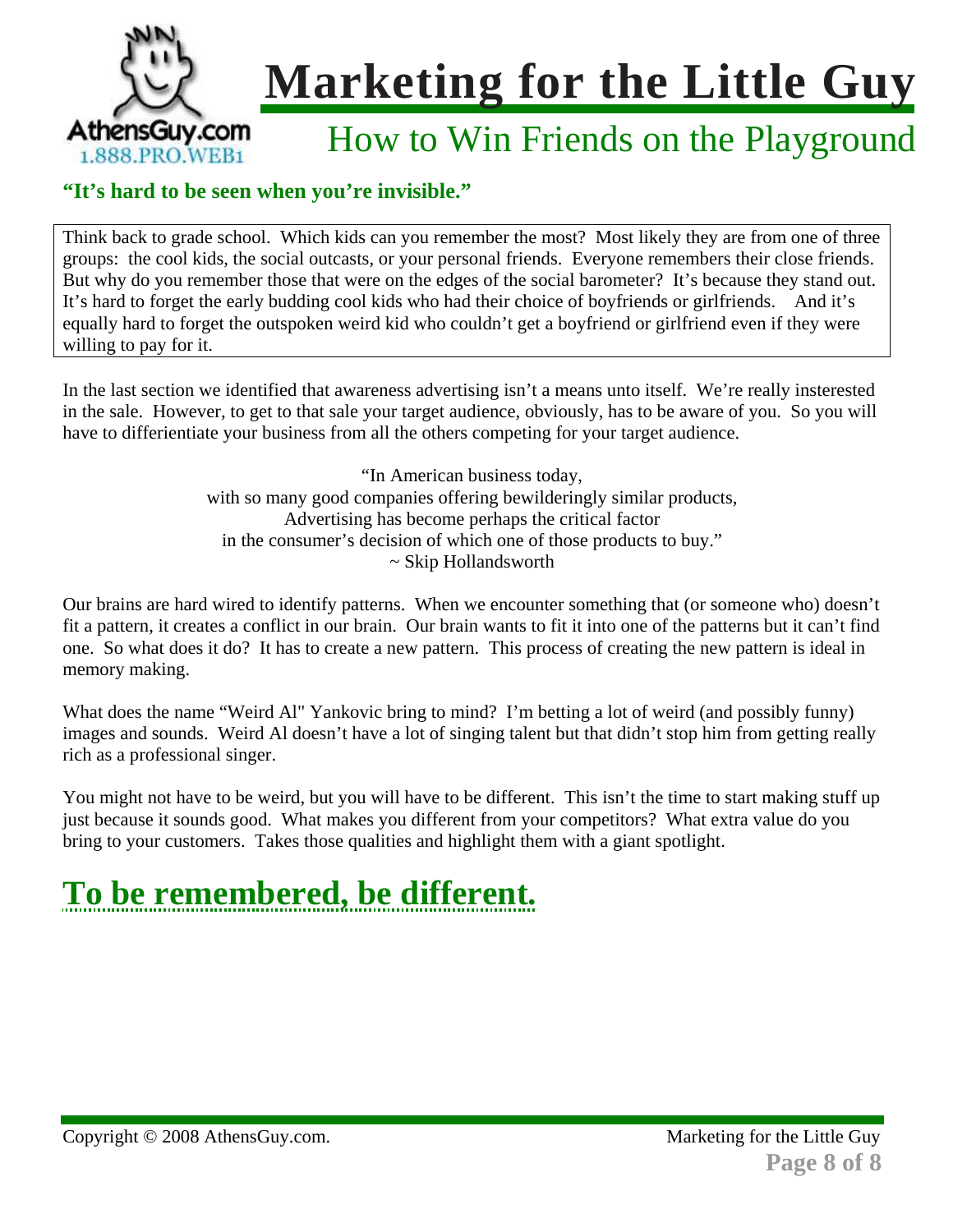

### How to Win Friends on the Playground

#### **"It's hard to be seen when you're invisible."**

Think back to grade school. Which kids can you remember the most? Most likely they are from one of three groups: the cool kids, the social outcasts, or your personal friends. Everyone remembers their close friends. But why do you remember those that were on the edges of the social barometer? It's because they stand out. It's hard to forget the early budding cool kids who had their choice of boyfriends or girlfriends. And it's equally hard to forget the outspoken weird kid who couldn't get a boyfriend or girlfriend even if they were willing to pay for it.

In the last section we identified that awareness advertising isn't a means unto itself. We're really insterested in the sale. However, to get to that sale your target audience, obviously, has to be aware of you. So you will have to differientiate your business from all the others competing for your target audience.

> "In American business today, with so many good companies offering bewilderingly similar products, Advertising has become perhaps the critical factor in the consumer's decision of which one of those products to buy." ~ Skip Hollandsworth

Our brains are hard wired to identify patterns. When we encounter something that (or someone who) doesn't fit a pattern, it creates a conflict in our brain. Our brain wants to fit it into one of the patterns but it can't find one. So what does it do? It has to create a new pattern. This process of creating the new pattern is ideal in memory making.

What does the name "Weird Al" Yankovic bring to mind? I'm betting a lot of weird (and possibly funny) images and sounds. Weird Al doesn't have a lot of singing talent but that didn't stop him from getting really rich as a professional singer.

You might not have to be weird, but you will have to be different. This isn't the time to start making stuff up just because it sounds good. What makes you different from your competitors? What extra value do you bring to your customers. Takes those qualities and highlight them with a giant spotlight.

## **To be remembered, be different.**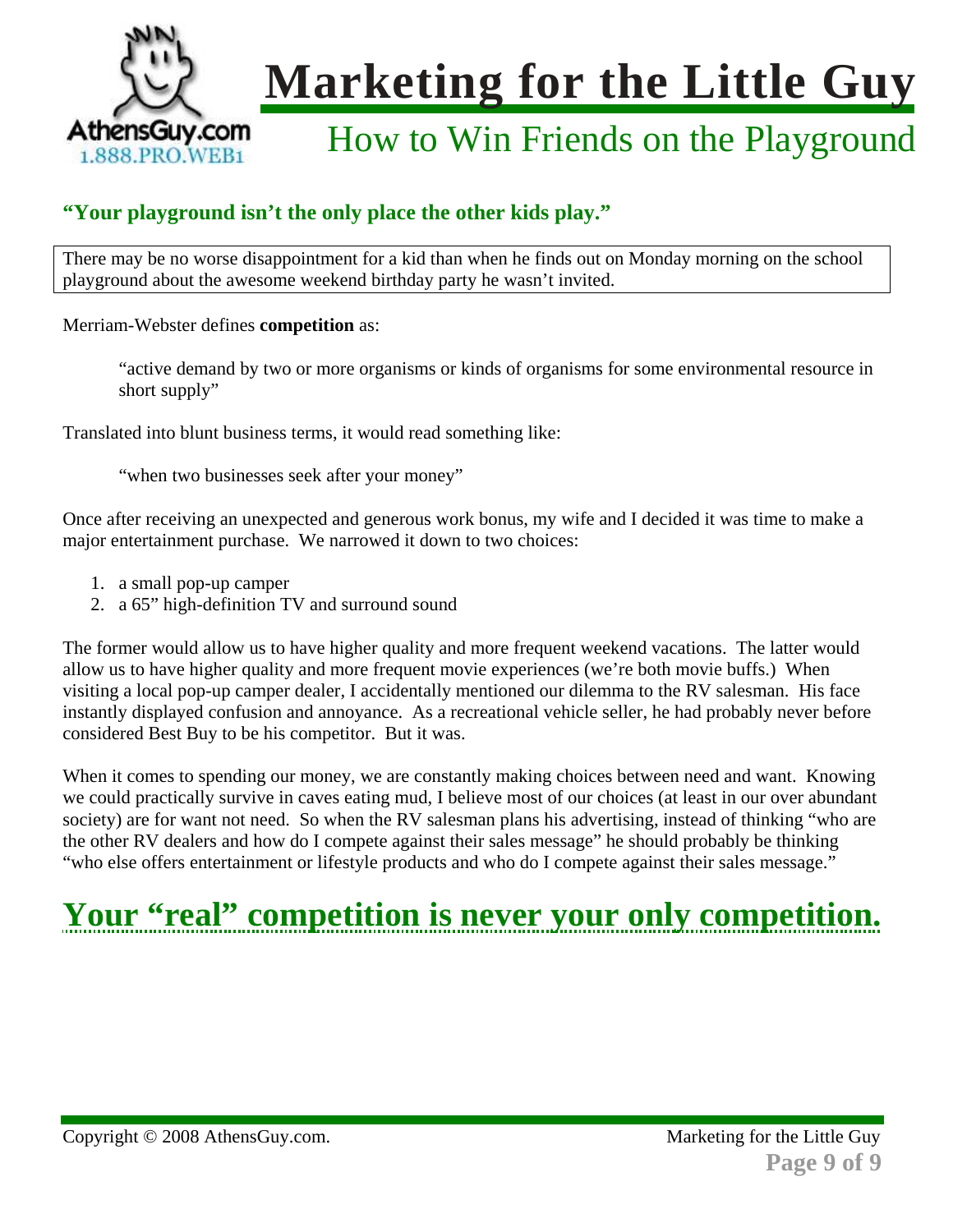

### How to Win Friends on the Playground

### **"Your playground isn't the only place the other kids play."**

There may be no worse disappointment for a kid than when he finds out on Monday morning on the school playground about the awesome weekend birthday party he wasn't invited.

Merriam-Webster defines **competition** as:

"active demand by two or more organisms or kinds of organisms for some environmental resource in short supply"

Translated into blunt business terms, it would read something like:

"when two businesses seek after your money"

Once after receiving an unexpected and generous work bonus, my wife and I decided it was time to make a major entertainment purchase. We narrowed it down to two choices:

- 1. a small pop-up camper
- 2. a 65" high-definition TV and surround sound

The former would allow us to have higher quality and more frequent weekend vacations. The latter would allow us to have higher quality and more frequent movie experiences (we're both movie buffs.) When visiting a local pop-up camper dealer, I accidentally mentioned our dilemma to the RV salesman. His face instantly displayed confusion and annoyance. As a recreational vehicle seller, he had probably never before considered Best Buy to be his competitor. But it was.

When it comes to spending our money, we are constantly making choices between need and want. Knowing we could practically survive in caves eating mud, I believe most of our choices (at least in our over abundant society) are for want not need. So when the RV salesman plans his advertising, instead of thinking "who are the other RV dealers and how do I compete against their sales message" he should probably be thinking "who else offers entertainment or lifestyle products and who do I compete against their sales message."

## **Your "real" competition is never your only competition.**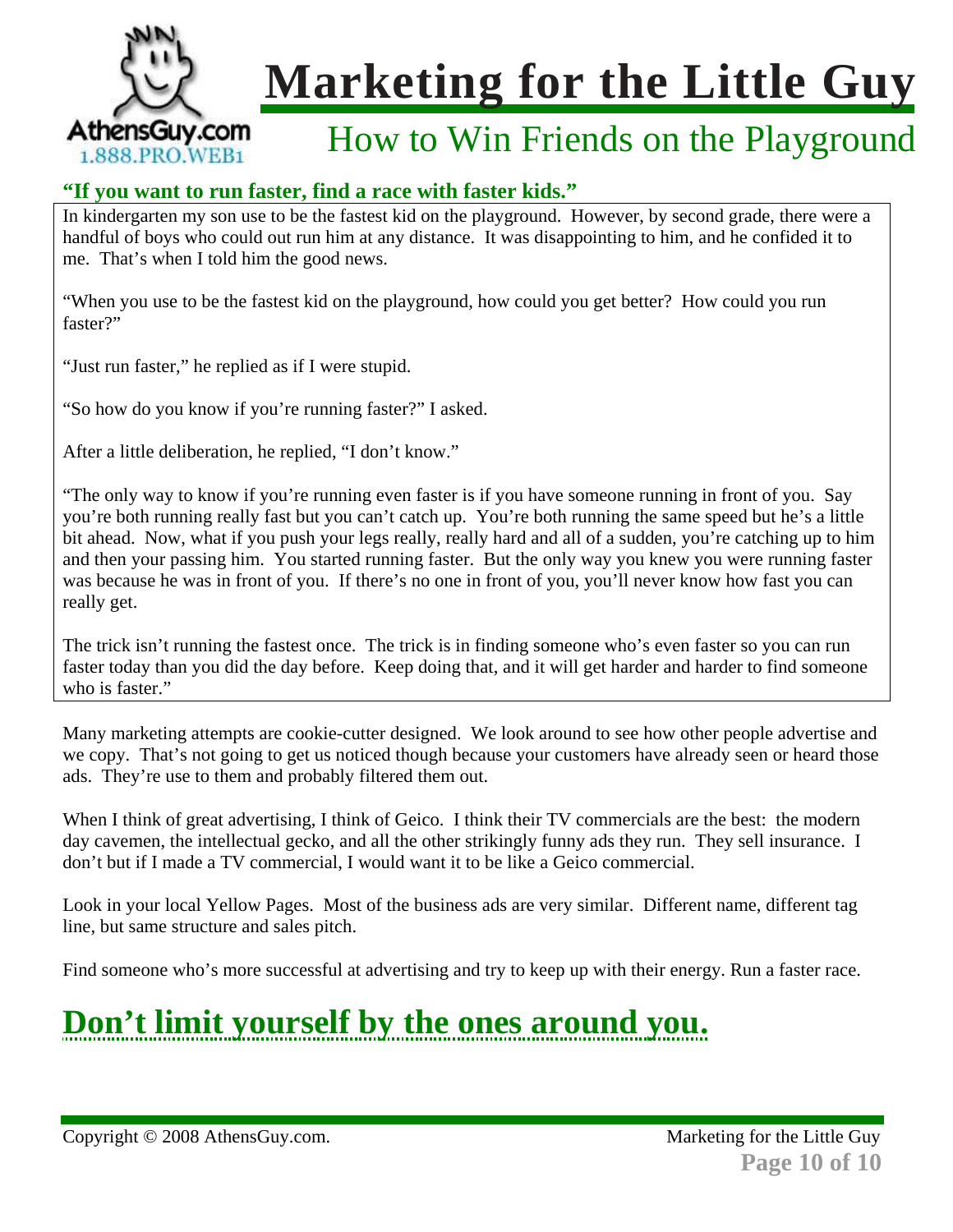

### How to Win Friends on the Playground

### **"If you want to run faster, find a race with faster kids."**

In kindergarten my son use to be the fastest kid on the playground. However, by second grade, there were a handful of boys who could out run him at any distance. It was disappointing to him, and he confided it to me. That's when I told him the good news.

"When you use to be the fastest kid on the playground, how could you get better? How could you run faster?"

"Just run faster," he replied as if I were stupid.

"So how do you know if you're running faster?" I asked.

After a little deliberation, he replied, "I don't know."

"The only way to know if you're running even faster is if you have someone running in front of you. Say you're both running really fast but you can't catch up. You're both running the same speed but he's a little bit ahead. Now, what if you push your legs really, really hard and all of a sudden, you're catching up to him and then your passing him. You started running faster. But the only way you knew you were running faster was because he was in front of you. If there's no one in front of you, you'll never know how fast you can really get.

The trick isn't running the fastest once. The trick is in finding someone who's even faster so you can run faster today than you did the day before. Keep doing that, and it will get harder and harder to find someone who is faster."

Many marketing attempts are cookie-cutter designed. We look around to see how other people advertise and we copy. That's not going to get us noticed though because your customers have already seen or heard those ads. They're use to them and probably filtered them out.

When I think of great advertising, I think of Geico. I think their TV commercials are the best: the modern day cavemen, the intellectual gecko, and all the other strikingly funny ads they run. They sell insurance. I don't but if I made a TV commercial, I would want it to be like a Geico commercial.

Look in your local Yellow Pages. Most of the business ads are very similar. Different name, different tag line, but same structure and sales pitch.

Find someone who's more successful at advertising and try to keep up with their energy. Run a faster race.

## **Don't limit yourself by the ones around you.**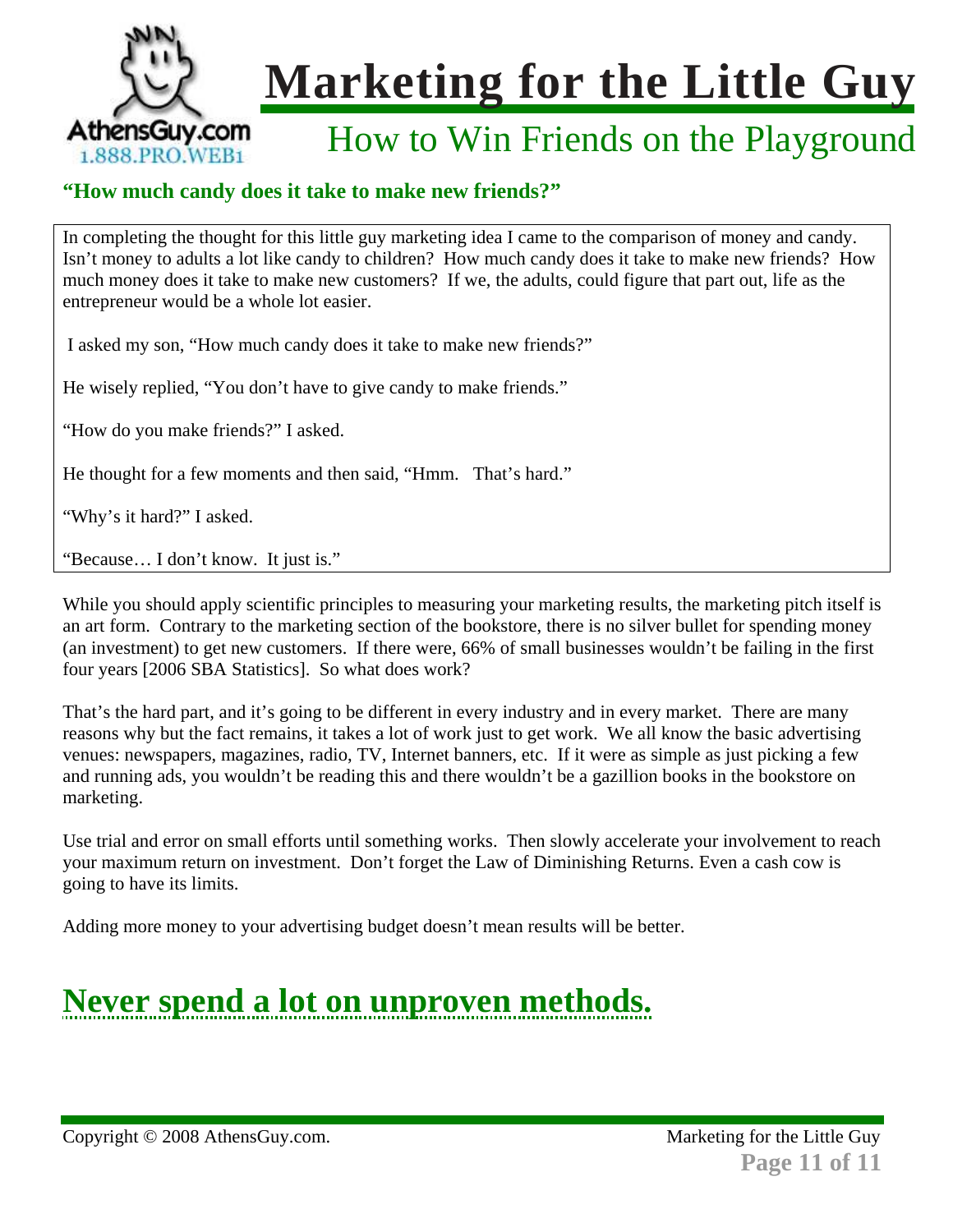

### How to Win Friends on the Playground

### **"How much candy does it take to make new friends?"**

In completing the thought for this little guy marketing idea I came to the comparison of money and candy. Isn't money to adults a lot like candy to children? How much candy does it take to make new friends? How much money does it take to make new customers? If we, the adults, could figure that part out, life as the entrepreneur would be a whole lot easier.

I asked my son, "How much candy does it take to make new friends?"

He wisely replied, "You don't have to give candy to make friends."

"How do you make friends?" I asked.

He thought for a few moments and then said, "Hmm. That's hard."

"Why's it hard?" I asked.

"Because… I don't know. It just is."

While you should apply scientific principles to measuring your marketing results, the marketing pitch itself is an art form. Contrary to the marketing section of the bookstore, there is no silver bullet for spending money (an investment) to get new customers. If there were, 66% of small businesses wouldn't be failing in the first four years [2006 SBA Statistics]. So what does work?

That's the hard part, and it's going to be different in every industry and in every market. There are many reasons why but the fact remains, it takes a lot of work just to get work. We all know the basic advertising venues: newspapers, magazines, radio, TV, Internet banners, etc. If it were as simple as just picking a few and running ads, you wouldn't be reading this and there wouldn't be a gazillion books in the bookstore on marketing.

Use trial and error on small efforts until something works. Then slowly accelerate your involvement to reach your maximum return on investment. Don't forget the Law of Diminishing Returns. Even a cash cow is going to have its limits.

Adding more money to your advertising budget doesn't mean results will be better.

## **Never spend a lot on unproven methods.**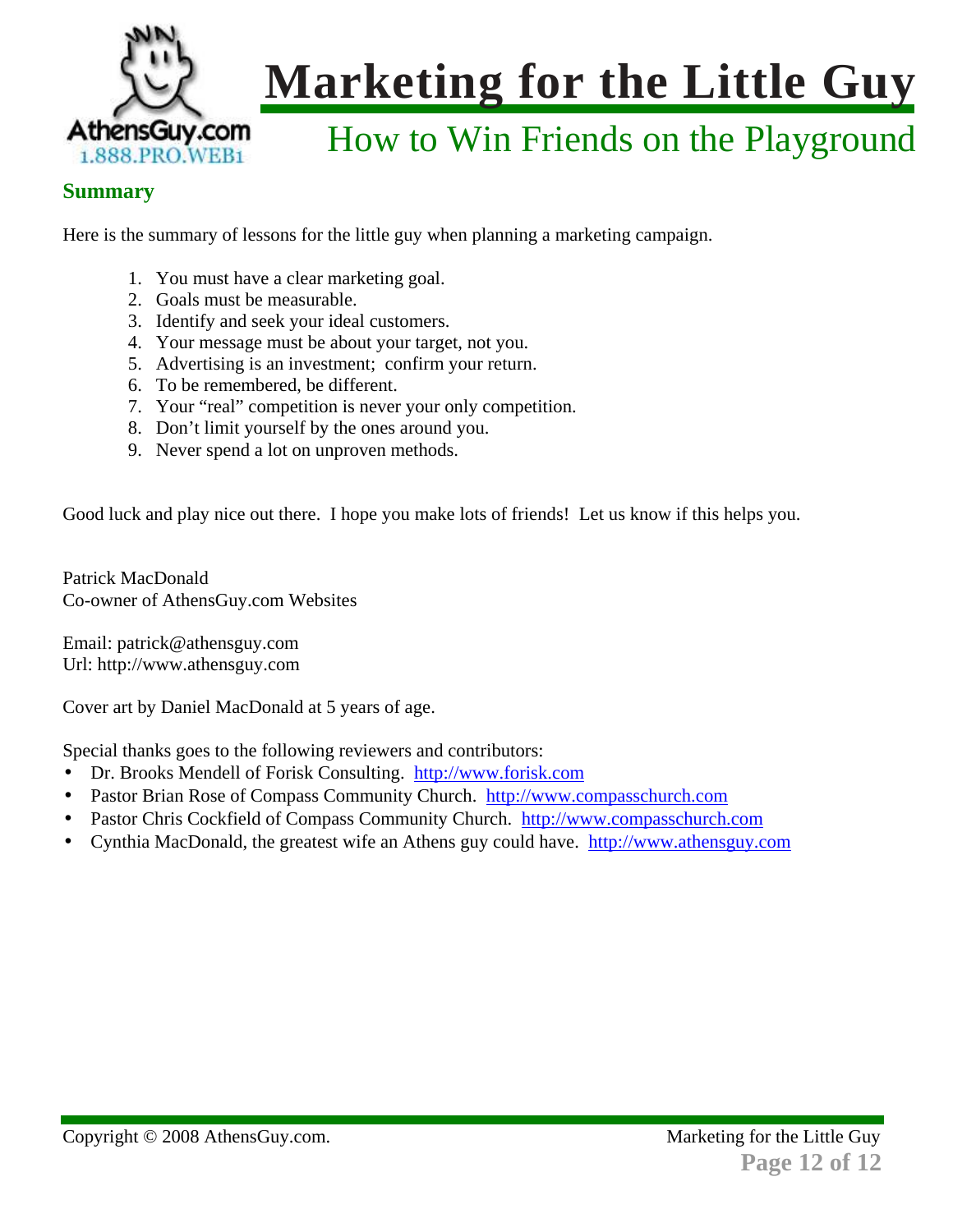

## How to Win Friends on the Playground

#### **Summary**

Here is the summary of lessons for the little guy when planning a marketing campaign.

- 1. You must have a clear marketing goal.
- 2. Goals must be measurable.
- 3. Identify and seek your ideal customers.
- 4. Your message must be about your target, not you.
- 5. Advertising is an investment; confirm your return.
- 6. To be remembered, be different.
- 7. Your "real" competition is never your only competition.
- 8. Don't limit yourself by the ones around you.
- 9. Never spend a lot on unproven methods.

Good luck and play nice out there. I hope you make lots of friends! Let us know if this helps you.

Patrick MacDonald Co-owner of AthensGuy.com Websites

Email: patrick@athensguy.com Url: http://www.athensguy.com

Cover art by Daniel MacDonald at 5 years of age.

Special thanks goes to the following reviewers and contributors:

- Dr. Brooks Mendell of Forisk Consulting. http://www.forisk.com
- Pastor Brian Rose of Compass Community Church. http://www.compasschurch.com
- Pastor Chris Cockfield of Compass Community Church. http://www.compasschurch.com
- Cynthia MacDonald, the greatest wife an Athens guy could have. http://www.athensguy.com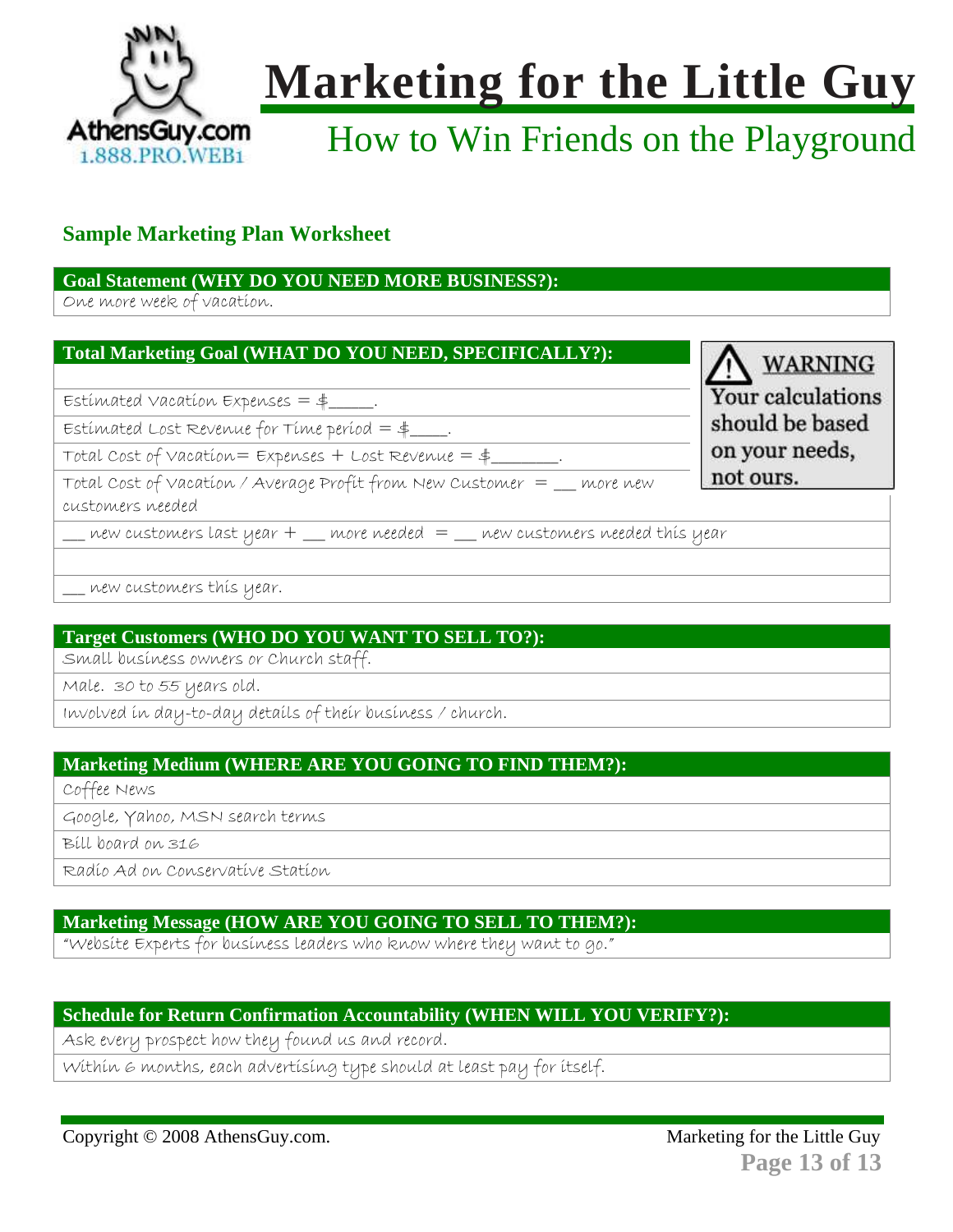

## How to Win Friends on the Playground

### **Sample Marketing Plan Worksheet**

#### **Goal Statement (WHY DO YOU NEED MORE BUSINESS?):**

One more week of vacation.

#### **Total Marketing Goal (WHAT DO YOU NEED, SPECIFICALLY?):**

Estimated vacation Expenses  $=$  \$

 $Estimated$  Lost Revenue for Time period  $=$  \$

Total Cost of Vacation =  $Expenses + Lost Review = $$ 

Total Cost of Vacation / Average Profit from New Customer = \_\_\_ more new

customers needed

new customers last year  $+$  \_\_ more needed  $=$  \_\_ new customers needed this year

\_\_\_ new customers this year.

### **Target Customers (WHO DO YOU WANT TO SELL TO?):**

Small business owners or Church staff.

Male. 30 to 55 years old.

Involved in day-to-day details of their business / church.

#### **Marketing Medium (WHERE ARE YOU GOING TO FIND THEM?):**

Coffee News

Google, Yahoo, MSN search terms

Bill board on 316

Radio Ad on Conservative Station

#### **Marketing Message (HOW ARE YOU GOING TO SELL TO THEM?):**

"Website Experts for business leaders who know where they want to go."

#### **Schedule for Return Confirmation Accountability (WHEN WILL YOU VERIFY?):**

Ask every prospect how they found us and record.

Within 6 months, each advertising type should at least pay for itself.